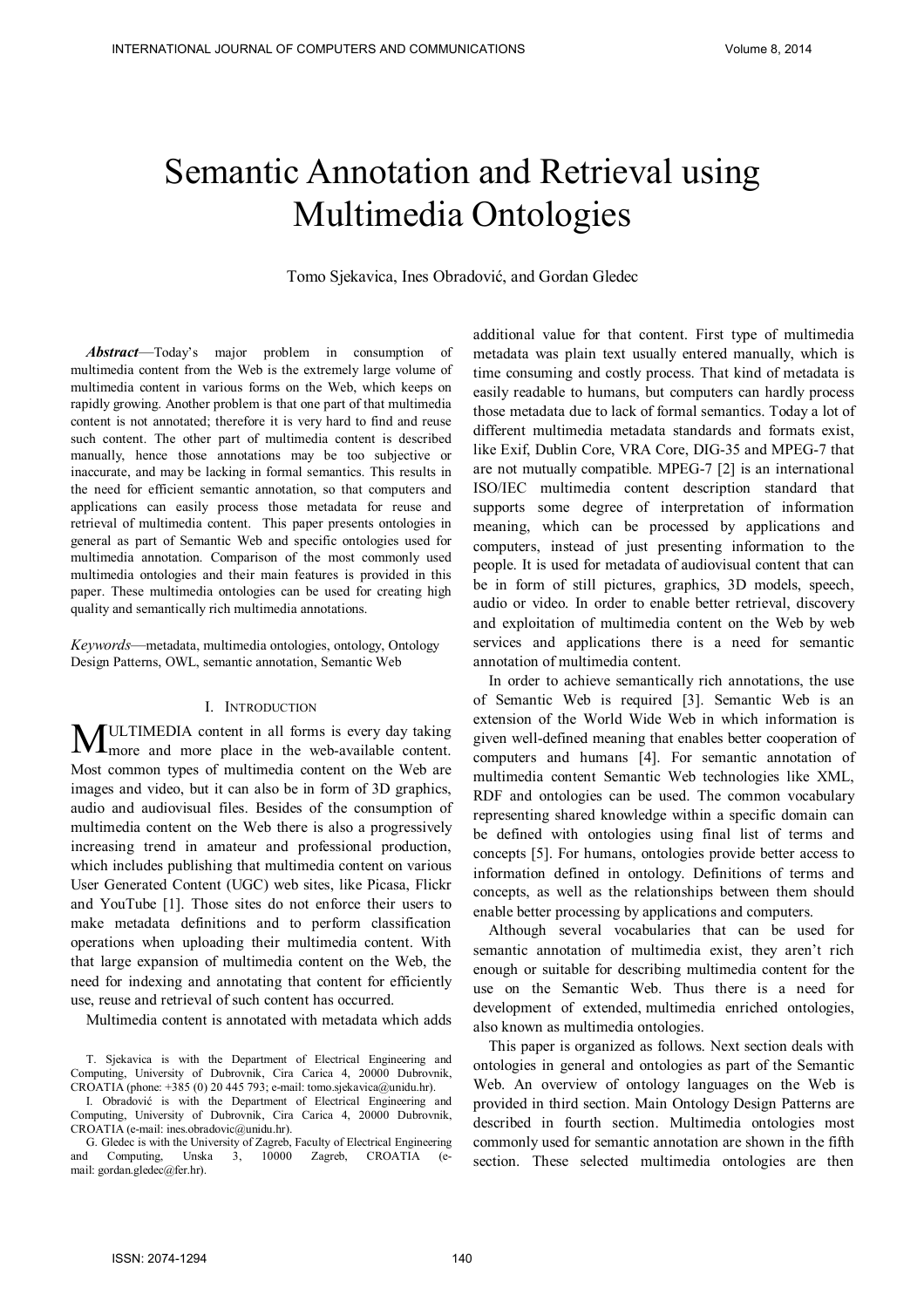# Semantic Annotation and Retrieval using Multimedia Ontologies

Tomo Sjekavica, Ines Obradović, and Gordan Gledec

*Abstract*—Today's major problem in consumption of multimedia content from the Web is the extremely large volume of multimedia content in various forms on the Web, which keeps on rapidly growing. Another problem is that one part of that multimedia content is not annotated; therefore it is very hard to find and reuse such content. The other part of multimedia content is described manually, hence those annotations may be too subjective or inaccurate, and may be lacking in formal semantics. This results in the need for efficient semantic annotation, so that computers and applications can easily process those metadata for reuse and retrieval of multimedia content. This paper presents ontologies in general as part of Semantic Web and specific ontologies used for multimedia annotation. Comparison of the most commonly used multimedia ontologies and their main features is provided in this paper. These multimedia ontologies can be used for creating high quality and semantically rich multimedia annotations.

*Keywords*—metadata, multimedia ontologies, ontology, Ontology Design Patterns, OWL, semantic annotation, Semantic Web

## I. INTRODUCTION

ULTIMEDIA content in all forms is every day taking MULTIMEDIA content in all forms is every day taking<br>more and more place in the web-available content. Most common types of multimedia content on the Web are images and video, but it can also be in form of 3D graphics, audio and audiovisual files. Besides of the consumption of multimedia content on the Web there is also a progressively increasing trend in amateur and professional production, which includes publishing that multimedia content on various User Generated Content (UGC) web sites, like Picasa, Flickr and YouTube [1]. Those sites do not enforce their users to make metadata definitions and to perform classification operations when uploading their multimedia content. With that large expansion of multimedia content on the Web, the need for indexing and annotating that content for efficiently use, reuse and retrieval of such content has occurred.

Multimedia content is annotated with metadata which adds

T. Sjekavica is with the Department of Electrical Engineering and Computing, University of Dubrovnik, Cira Carica 4, 20000 Dubrovnik, CROATIA (phone: +385 (0) 20 445 793; e-mail: tomo.sjekavica@unidu.hr).

I. Obradović is with the Department of Electrical Engineering and Computing, University of Dubrovnik, Cira Carica 4, 20000 Dubrovnik, CROATIA (e-mail: ines.obradovic@unidu.hr).

G. Gledec is with the University of Zagreb, Faculty of Electrical Engineering and Computing. Unska 3, 10000 Zagreb, CROATIA (e-Unska 3, 10000 Zagreb, CROATIA (email: gordan.gledec@fer.hr).

additional value for that content. First type of multimedia metadata was plain text usually entered manually, which is time consuming and costly process. That kind of metadata is easily readable to humans, but computers can hardly process those metadata due to lack of formal semantics. Today a lot of different multimedia metadata standards and formats exist, like Exif, Dublin Core, VRA Core, DIG-35 and MPEG-7 that are not mutually compatible. MPEG-7 [2] is an international ISO/IEC multimedia content description standard that supports some degree of interpretation of information meaning, which can be processed by applications and computers, instead of just presenting information to the people. It is used for metadata of audiovisual content that can be in form of still pictures, graphics, 3D models, speech, audio or video. In order to enable better retrieval, discovery and exploitation of multimedia content on the Web by web services and applications there is a need for semantic annotation of multimedia content.

In order to achieve semantically rich annotations, the use of Semantic Web is required [3]. Semantic Web is an extension of the World Wide Web in which information is given well-defined meaning that enables better cooperation of computers and humans [4]. For semantic annotation of multimedia content Semantic Web technologies like XML, RDF and ontologies can be used. The common vocabulary representing shared knowledge within a specific domain can be defined with ontologies using final list of terms and concepts [5]. For humans, ontologies provide better access to information defined in ontology. Definitions of terms and concepts, as well as the relationships between them should enable better processing by applications and computers.

Although several vocabularies that can be used for semantic annotation of multimedia exist, they aren't rich enough or suitable for describing multimedia content for the use on the Semantic Web. Thus there is a need for development of extended, multimedia enriched ontologies, also known as multimedia ontologies.

This paper is organized as follows. Next section deals with ontologies in general and ontologies as part of the Semantic Web. An overview of ontology languages on the Web is provided in third section. Main Ontology Design Patterns are described in fourth section. Multimedia ontologies most commonly used for semantic annotation are shown in the fifth section. These selected multimedia ontologies are then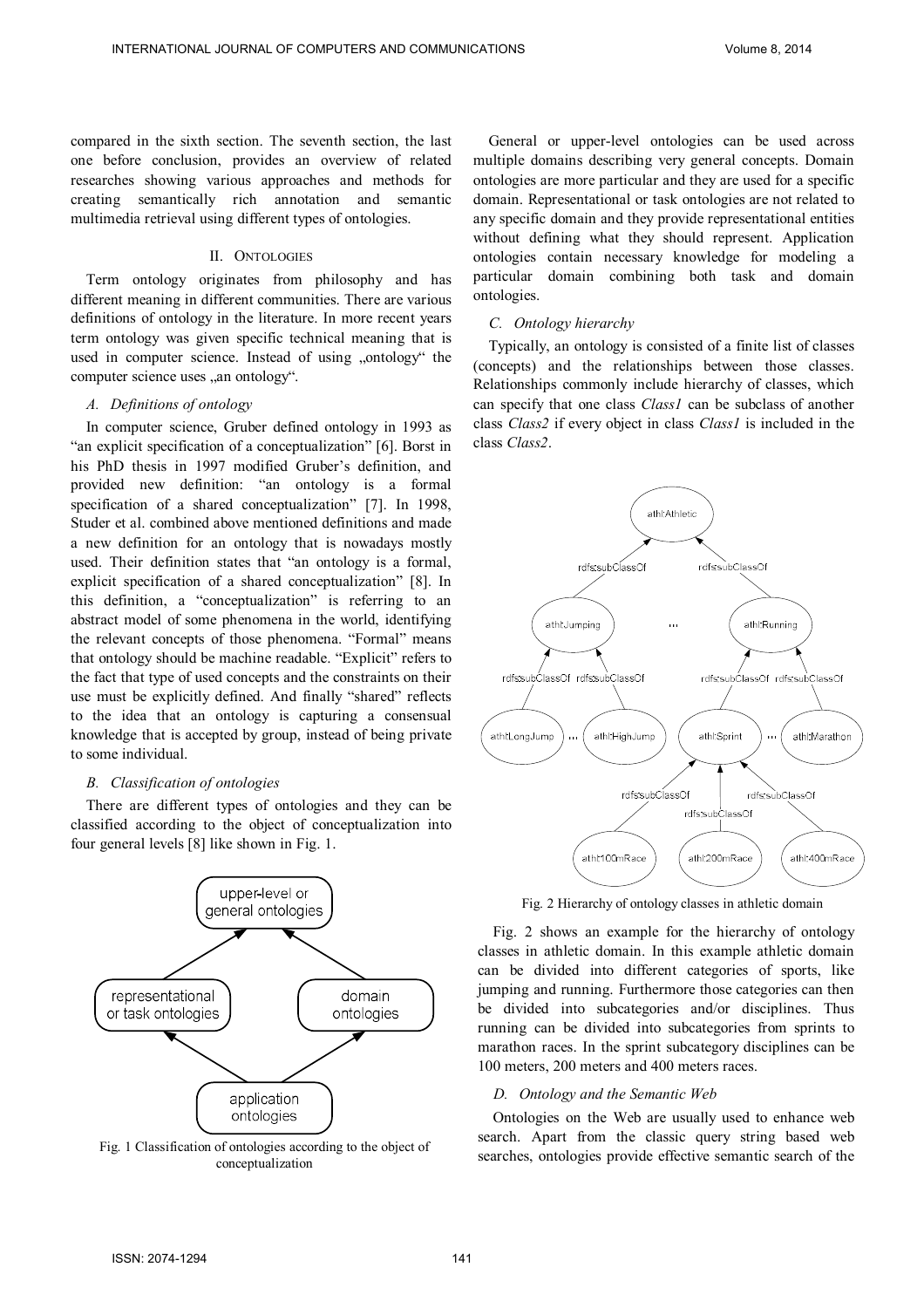compared in the sixth section. The seventh section, the last one before conclusion, provides an overview of related researches showing various approaches and methods for creating semantically rich annotation and semantic multimedia retrieval using different types of ontologies.

## II. ONTOLOGIES

Term ontology originates from philosophy and has different meaning in different communities. There are various definitions of ontology in the literature. In more recent years term ontology was given specific technical meaning that is used in computer science. Instead of using "ontology" the computer science uses "an ontology".

# *A. Definitions of ontology*

In computer science, Gruber defined ontology in 1993 as "an explicit specification of a conceptualization" [6]. Borst in his PhD thesis in 1997 modified Gruber's definition, and provided new definition: "an ontology is a formal specification of a shared conceptualization" [7]. In 1998, Studer et al. combined above mentioned definitions and made a new definition for an ontology that is nowadays mostly used. Their definition states that "an ontology is a formal, explicit specification of a shared conceptualization" [8]. In this definition, a "conceptualization" is referring to an abstract model of some phenomena in the world, identifying the relevant concepts of those phenomena. "Formal" means that ontology should be machine readable. "Explicit" refers to the fact that type of used concepts and the constraints on their use must be explicitly defined. And finally "shared" reflects to the idea that an ontology is capturing a consensual knowledge that is accepted by group, instead of being private to some individual.

# *B. Classification of ontologies*

There are different types of ontologies and they can be classified according to the object of conceptualization into four general levels [8] like shown in Fig. 1.



conceptualization

General or upper-level ontologies can be used across multiple domains describing very general concepts. Domain ontologies are more particular and they are used for a specific domain. Representational or task ontologies are not related to any specific domain and they provide representational entities without defining what they should represent. Application ontologies contain necessary knowledge for modeling a particular domain combining both task and domain ontologies.

# *C. Ontology hierarchy*

Typically, an ontology is consisted of a finite list of classes (concepts) and the relationships between those classes. Relationships commonly include hierarchy of classes, which can specify that one class *Class1* can be subclass of another class *Class2* if every object in class *Class1* is included in the class *Class2*.



Fig. 2 Hierarchy of ontology classes in athletic domain

Fig. 2 shows an example for the hierarchy of ontology classes in athletic domain. In this example athletic domain can be divided into different categories of sports, like jumping and running. Furthermore those categories can then be divided into subcategories and/or disciplines. Thus running can be divided into subcategories from sprints to marathon races. In the sprint subcategory disciplines can be 100 meters, 200 meters and 400 meters races.

# *D. Ontology and the Semantic Web*

Ontologies on the Web are usually used to enhance web search. Apart from the classic query string based web Fig. 1 Classification of ontologies according to the object of<br>searches, ontologies provide effective semantic search of the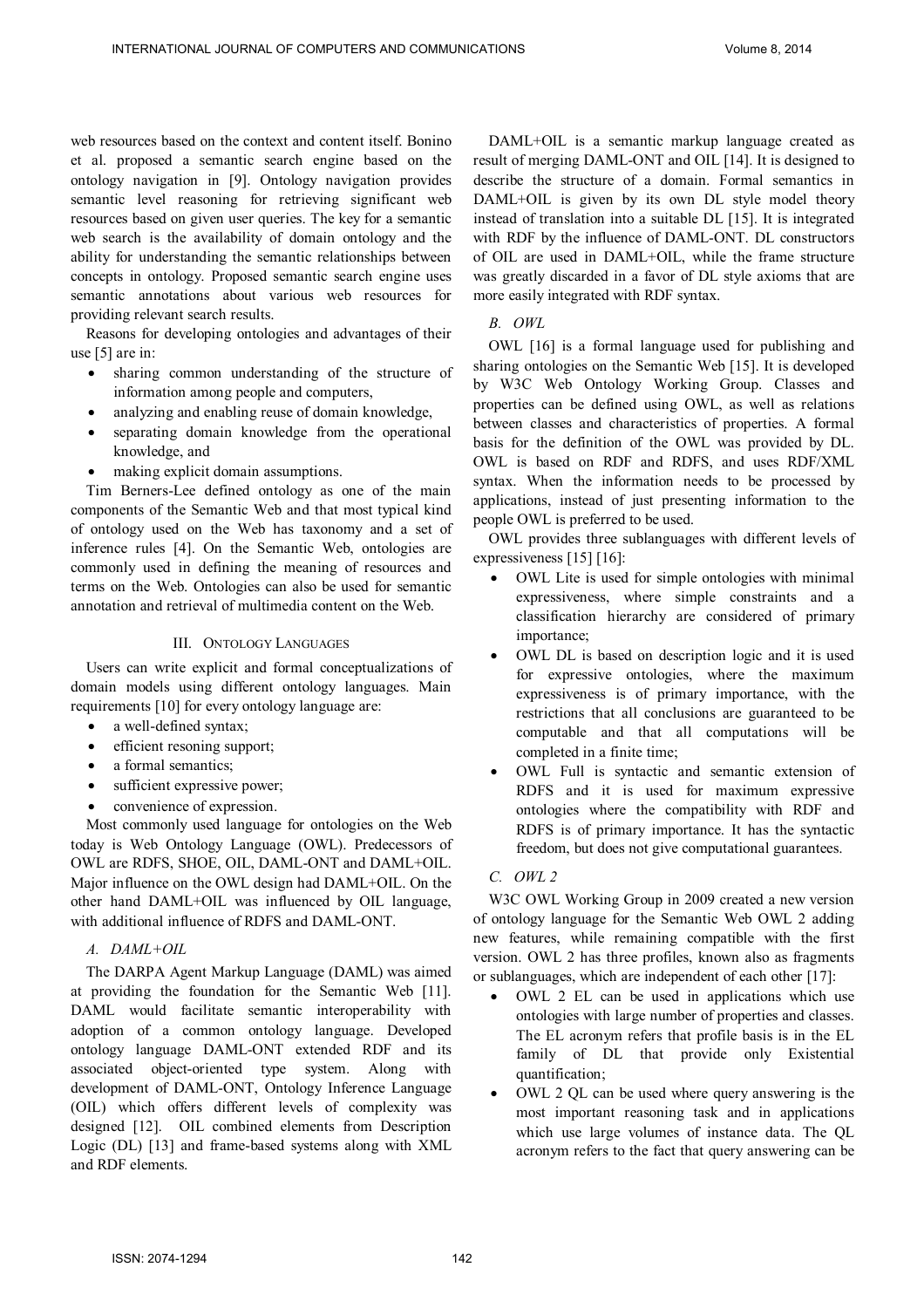web resources based on the context and content itself. Bonino et al. proposed a semantic search engine based on the ontology navigation in [9]. Ontology navigation provides semantic level reasoning for retrieving significant web resources based on given user queries. The key for a semantic web search is the availability of domain ontology and the ability for understanding the semantic relationships between concepts in ontology. Proposed semantic search engine uses semantic annotations about various web resources for providing relevant search results.

Reasons for developing ontologies and advantages of their use [5] are in:

- sharing common understanding of the structure of information among people and computers,
- analyzing and enabling reuse of domain knowledge,
- separating domain knowledge from the operational knowledge, and
- making explicit domain assumptions.

Tim Berners-Lee defined ontology as one of the main components of the Semantic Web and that most typical kind of ontology used on the Web has taxonomy and a set of inference rules [4]. On the Semantic Web, ontologies are commonly used in defining the meaning of resources and terms on the Web. Ontologies can also be used for semantic annotation and retrieval of multimedia content on the Web.

## III. ONTOLOGY LANGUAGES

Users can write explicit and formal conceptualizations of domain models using different ontology languages. Main requirements [10] for every ontology language are:

- a well-defined syntax;
- efficient resoning support;
- a formal semantics;
- sufficient expressive power;
- convenience of expression.

Most commonly used language for ontologies on the Web today is Web Ontology Language (OWL). Predecessors of OWL are RDFS, SHOE, OIL, DAML-ONT and DAML+OIL. Major influence on the OWL design had DAML+OIL. On the other hand DAML+OIL was influenced by OIL language, with additional influence of RDFS and DAML-ONT.

# *A. DAML+OIL*

The DARPA Agent Markup Language (DAML) was aimed at providing the foundation for the Semantic Web [11]. DAML would facilitate semantic interoperability with adoption of a common ontology language. Developed ontology language DAML-ONT extended RDF and its associated object-oriented type system. Along with development of DAML-ONT, Ontology Inference Language (OIL) which offers different levels of complexity was designed [12]. OIL combined elements from Description Logic (DL) [13] and frame-based systems along with XML and RDF elements.

DAML+OIL is a semantic markup language created as result of merging DAML-ONT and OIL [14]. It is designed to describe the structure of a domain. Formal semantics in DAML+OIL is given by its own DL style model theory instead of translation into a suitable DL [15]. It is integrated with RDF by the influence of DAML-ONT. DL constructors of OIL are used in DAML+OIL, while the frame structure was greatly discarded in a favor of DL style axioms that are more easily integrated with RDF syntax.

# *B. OWL*

OWL [16] is a formal language used for publishing and sharing ontologies on the Semantic Web [15]. It is developed by W3C Web Ontology Working Group. Classes and properties can be defined using OWL, as well as relations between classes and characteristics of properties. A formal basis for the definition of the OWL was provided by DL. OWL is based on RDF and RDFS, and uses RDF/XML syntax. When the information needs to be processed by applications, instead of just presenting information to the people OWL is preferred to be used.

OWL provides three sublanguages with different levels of expressiveness [15] [16]:

- OWL Lite is used for simple ontologies with minimal expressiveness, where simple constraints and a classification hierarchy are considered of primary importance;
- OWL DL is based on description logic and it is used for expressive ontologies, where the maximum expressiveness is of primary importance, with the restrictions that all conclusions are guaranteed to be computable and that all computations will be completed in a finite time;
- OWL Full is syntactic and semantic extension of RDFS and it is used for maximum expressive ontologies where the compatibility with RDF and RDFS is of primary importance. It has the syntactic freedom, but does not give computational guarantees.

# *C. OWL 2*

W3C OWL Working Group in 2009 created a new version of ontology language for the Semantic Web OWL 2 adding new features, while remaining compatible with the first version. OWL 2 has three profiles, known also as fragments or sublanguages, which are independent of each other [17]:

- OWL 2 EL can be used in applications which use ontologies with large number of properties and classes. The EL acronym refers that profile basis is in the EL family of DL that provide only Existential quantification;
- OWL 2 QL can be used where query answering is the most important reasoning task and in applications which use large volumes of instance data. The QL acronym refers to the fact that query answering can be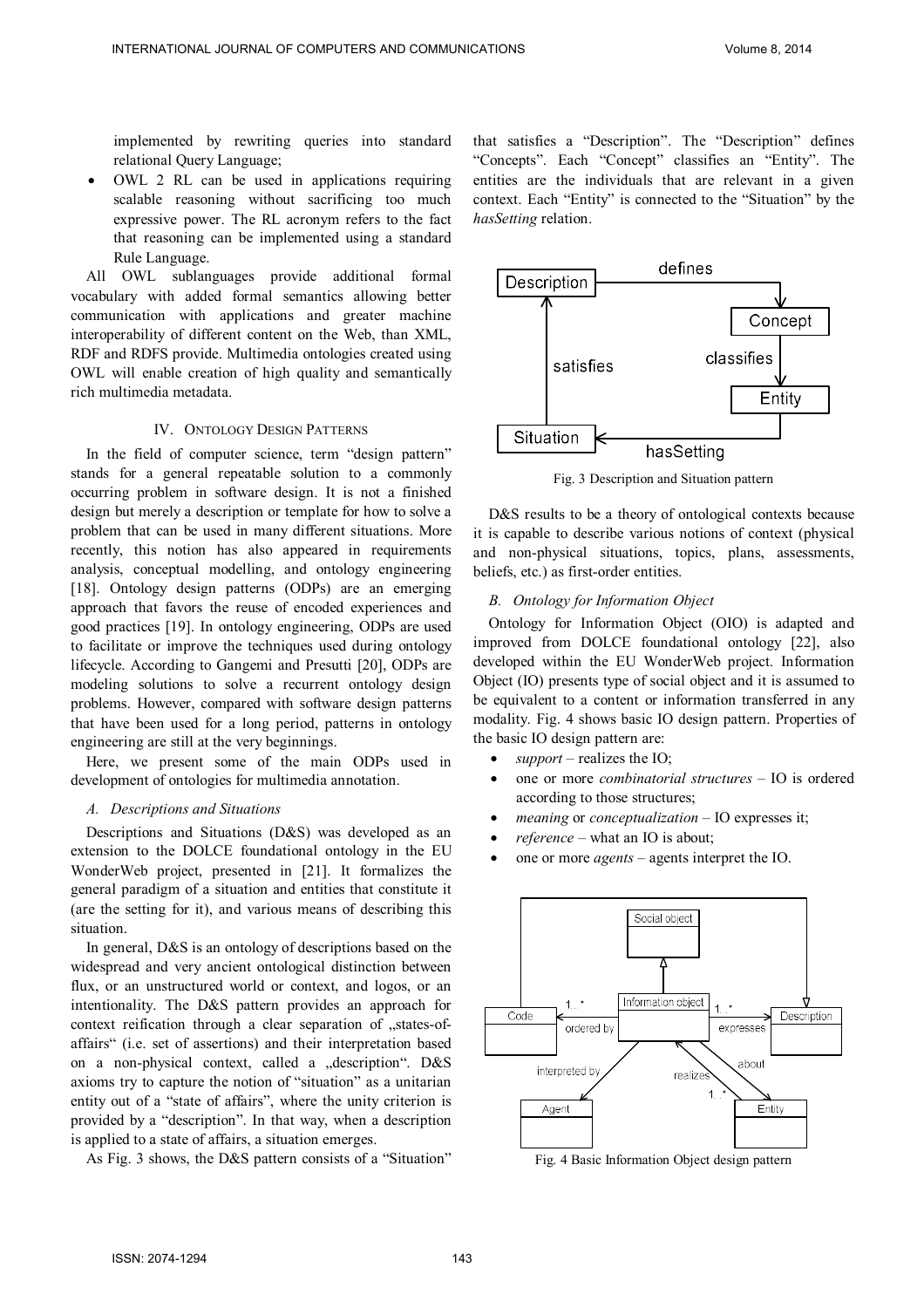implemented by rewriting queries into standard relational Query Language;

 OWL 2 RL can be used in applications requiring scalable reasoning without sacrificing too much expressive power. The RL acronym refers to the fact that reasoning can be implemented using a standard Rule Language.

All OWL sublanguages provide additional formal vocabulary with added formal semantics allowing better communication with applications and greater machine interoperability of different content on the Web, than XML, RDF and RDFS provide. Multimedia ontologies created using OWL will enable creation of high quality and semantically rich multimedia metadata.

#### IV. ONTOLOGY DESIGN PATTERNS

In the field of computer science, term "design pattern" stands for a general repeatable solution to a commonly occurring problem in software design. It is not a finished design but merely a description or template for how to solve a problem that can be used in many different situations. More recently, this notion has also appeared in requirements analysis, conceptual modelling, and ontology engineering [18]. Ontology design patterns (ODPs) are an emerging approach that favors the reuse of encoded experiences and good practices [19]. In ontology engineering, ODPs are used to facilitate or improve the techniques used during ontology lifecycle. According to Gangemi and Presutti [20], ODPs are modeling solutions to solve a recurrent ontology design problems. However, compared with software design patterns that have been used for a long period, patterns in ontology engineering are still at the very beginnings.

Here, we present some of the main ODPs used in development of ontologies for multimedia annotation.

#### *A. Descriptions and Situations*

Descriptions and Situations (D&S) was developed as an extension to the DOLCE foundational ontology in the EU WonderWeb project, presented in [21]. It formalizes the general paradigm of a situation and entities that constitute it (are the setting for it), and various means of describing this situation.

In general, D&S is an ontology of descriptions based on the widespread and very ancient ontological distinction between flux, or an unstructured world or context, and logos, or an intentionality. The D&S pattern provides an approach for context reification through a clear separation of "states-ofaffairs" (i.e. set of assertions) and their interpretation based on a non-physical context, called a "description". D&S axioms try to capture the notion of "situation" as a unitarian entity out of a "state of affairs", where the unity criterion is provided by a "description". In that way, when a description is applied to a state of affairs, a situation emerges.

As Fig. 3 shows, the D&S pattern consists of a "Situation"

that satisfies a "Description". The "Description" defines "Concepts". Each "Concept" classifies an "Entity". The entities are the individuals that are relevant in a given context. Each "Entity" is connected to the "Situation" by the *hasSetting* relation.



Fig. 3 Description and Situation pattern

D&S results to be a theory of ontological contexts because it is capable to describe various notions of context (physical and non-physical situations, topics, plans, assessments, beliefs, etc.) as first-order entities.

## *B. Ontology for Information Object*

Ontology for Information Object (OIO) is adapted and improved from DOLCE foundational ontology [22], also developed within the EU WonderWeb project. Information Object (IO) presents type of social object and it is assumed to be equivalent to a content or information transferred in any modality. Fig. 4 shows basic IO design pattern. Properties of the basic IO design pattern are:

- *support* realizes the IO;
- one or more *combinatorial structures* IO is ordered according to those structures;
- *meaning* or *conceptualization* IO expresses it;
- *reference* what an IO is about;
- one or more *agents* agents interpret the IO.



Fig. 4 Basic Information Object design pattern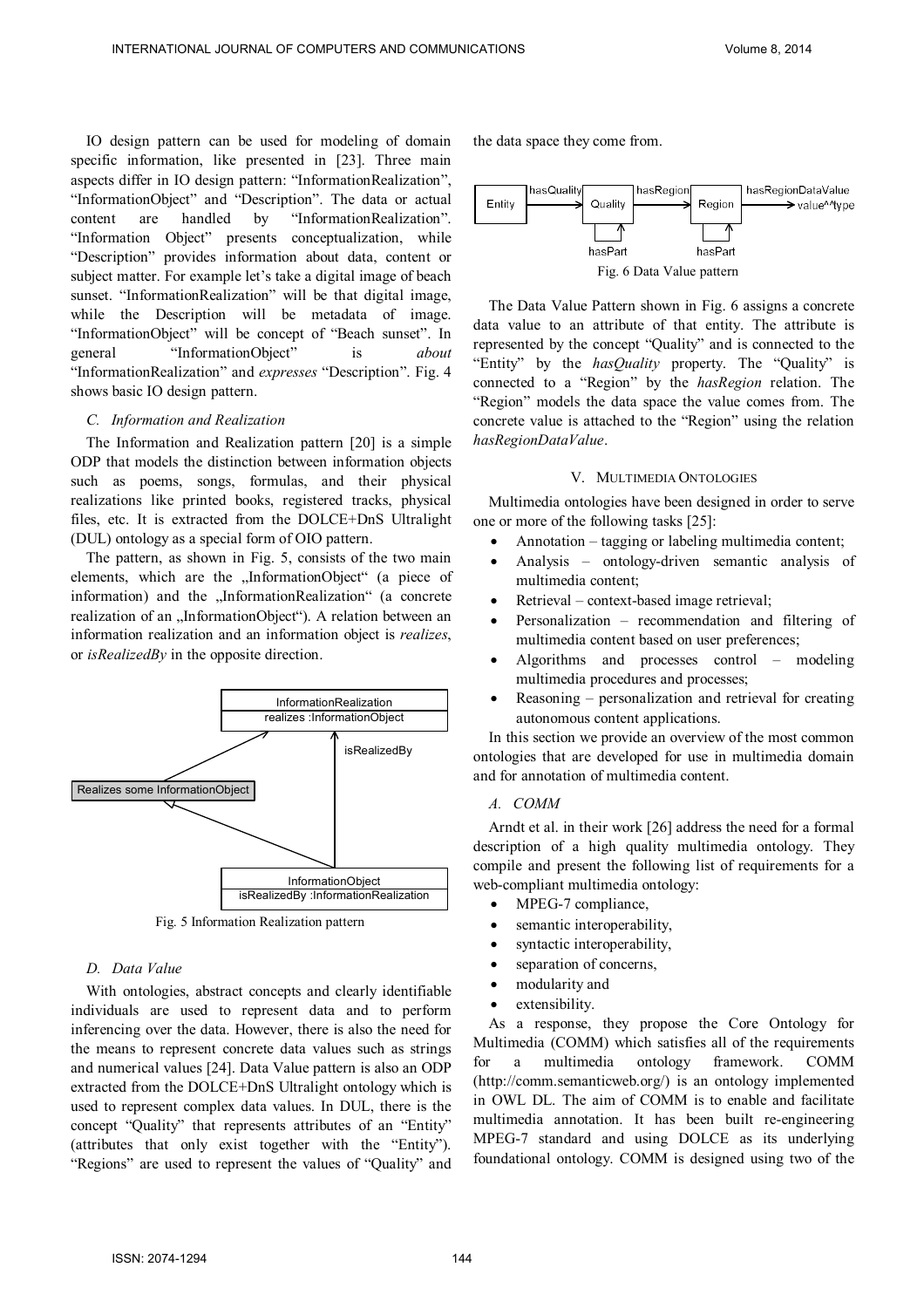IO design pattern can be used for modeling of domain specific information, like presented in [23]. Three main aspects differ in IO design pattern: "InformationRealization", "InformationObject" and "Description". The data or actual content are handled by "InformationRealization". "Information Object" presents conceptualization, while "Description" provides information about data, content or subject matter. For example let's take a digital image of beach sunset. "InformationRealization" will be that digital image, while the Description will be metadata of image. "InformationObject" will be concept of "Beach sunset". In general "InformationObject" is *about* "InformationRealization" and *expresses* "Description". Fig. 4 shows basic IO design pattern.

### *C. Information and Realization*

The Information and Realization pattern [20] is a simple ODP that models the distinction between information objects such as poems, songs, formulas, and their physical realizations like printed books, registered tracks, physical files, etc. It is extracted from the DOLCE+DnS Ultralight (DUL) ontology as a special form of OIO pattern.

The pattern, as shown in Fig. 5, consists of the two main elements, which are the "InformationObject" (a piece of information) and the "InformationRealization" (a concrete realization of an "InformationObject"). A relation between an information realization and an information object is *realizes*, or *isRealizedBy* in the opposite direction.



Fig. 5 Information Realization pattern

### *D. Data Value*

With ontologies, abstract concepts and clearly identifiable individuals are used to represent data and to perform inferencing over the data. However, there is also the need for the means to represent concrete data values such as strings and numerical values [24]. Data Value pattern is also an ODP extracted from the DOLCE+DnS Ultralight ontology which is used to represent complex data values. In DUL, there is the concept "Quality" that represents attributes of an "Entity" (attributes that only exist together with the "Entity"). "Regions" are used to represent the values of "Quality" and the data space they come from.



The Data Value Pattern shown in Fig. 6 assigns a concrete data value to an attribute of that entity. The attribute is represented by the concept "Quality" and is connected to the "Entity" by the *hasQuality* property. The "Quality" is connected to a "Region" by the *hasRegion* relation. The "Region" models the data space the value comes from. The concrete value is attached to the "Region" using the relation *hasRegionDataValue*.

#### V. MULTIMEDIA ONTOLOGIES

Multimedia ontologies have been designed in order to serve one or more of the following tasks [25]:

- Annotation tagging or labeling multimedia content;
- Analysis ontology-driven semantic analysis of multimedia content;
- Retrieval context-based image retrieval;
- Personalization recommendation and filtering of multimedia content based on user preferences;
- Algorithms and processes control modeling multimedia procedures and processes;
- Reasoning personalization and retrieval for creating autonomous content applications.

In this section we provide an overview of the most common ontologies that are developed for use in multimedia domain and for annotation of multimedia content.

### *A. COMM*

Arndt et al. in their work [26] address the need for a formal description of a high quality multimedia ontology. They compile and present the following list of requirements for a web-compliant multimedia ontology:

- MPEG-7 compliance,
- semantic interoperability,
- syntactic interoperability,
- separation of concerns,
- modularity and
- extensibility.

As a response, they propose the Core Ontology for Multimedia (COMM) which satisfies all of the requirements for a multimedia ontology framework. COMM (http://comm.semanticweb.org/) is an ontology implemented in OWL DL. The aim of COMM is to enable and facilitate multimedia annotation. It has been built re-engineering MPEG-7 standard and using DOLCE as its underlying foundational ontology. COMM is designed using two of the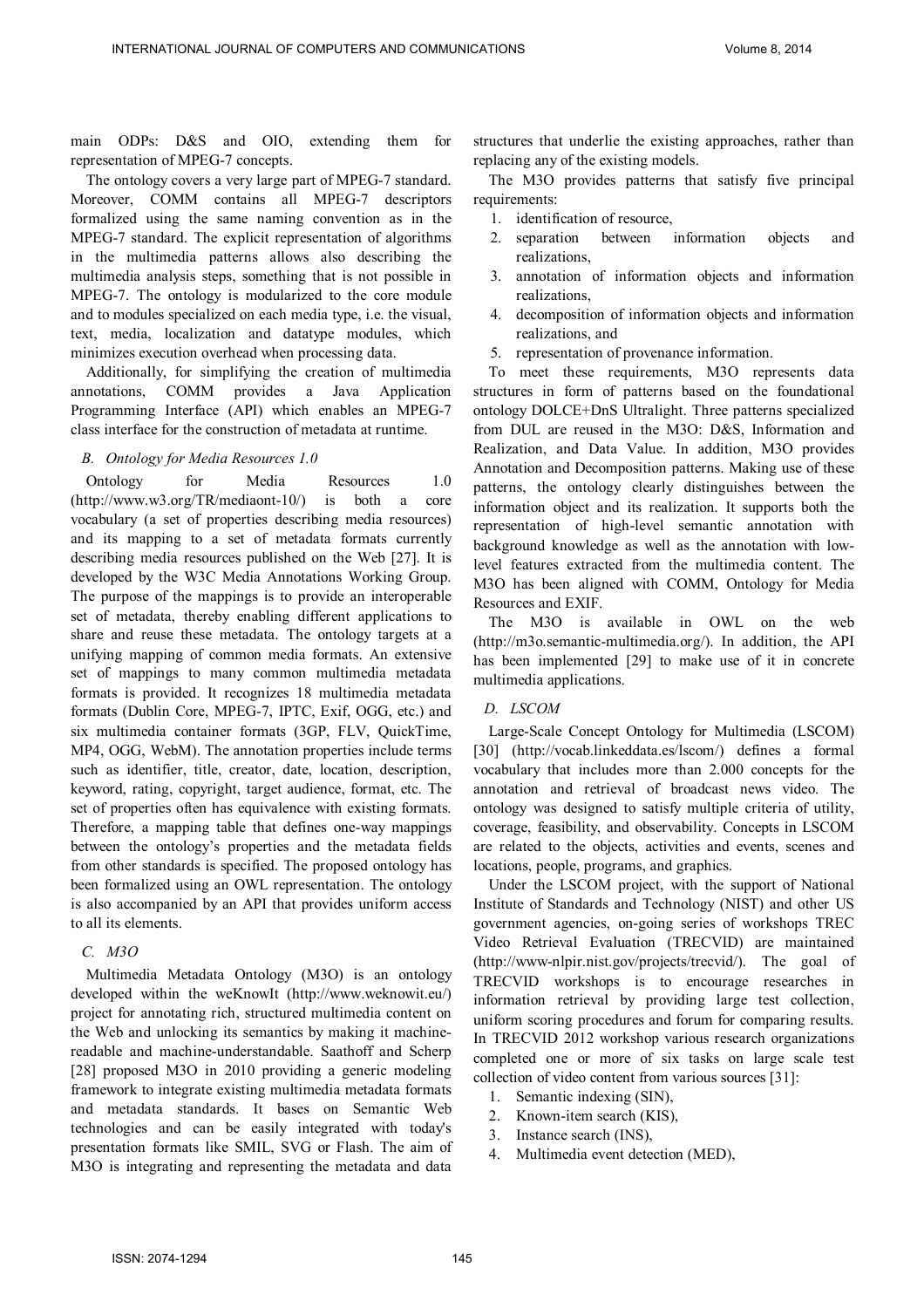main ODPs: D&S and OIO, extending them for representation of MPEG-7 concepts.

The ontology covers a very large part of MPEG-7 standard. Moreover, COMM contains all MPEG-7 descriptors formalized using the same naming convention as in the MPEG-7 standard. The explicit representation of algorithms in the multimedia patterns allows also describing the multimedia analysis steps, something that is not possible in MPEG-7. The ontology is modularized to the core module and to modules specialized on each media type, i.e. the visual, text, media, localization and datatype modules, which minimizes execution overhead when processing data.

Additionally, for simplifying the creation of multimedia annotations, COMM provides a Java Application Programming Interface (API) which enables an MPEG-7 class interface for the construction of metadata at runtime.

# *B. Ontology for Media Resources 1.0*

Ontology for Media Resources 1.0 (http://www.w3.org/TR/mediaont-10/) is both a core vocabulary (a set of properties describing media resources) and its mapping to a set of metadata formats currently describing media resources published on the Web [27]. It is developed by the W3C Media Annotations Working Group. The purpose of the mappings is to provide an interoperable set of metadata, thereby enabling different applications to share and reuse these metadata. The ontology targets at a unifying mapping of common media formats. An extensive set of mappings to many common multimedia metadata formats is provided. It recognizes 18 multimedia metadata formats (Dublin Core, MPEG-7, IPTC, Exif, OGG, etc.) and six multimedia container formats (3GP, FLV, QuickTime, MP4, OGG, WebM). The annotation properties include terms such as identifier, title, creator, date, location, description, keyword, rating, copyright, target audience, format, etc. The set of properties often has equivalence with existing formats. Therefore, a mapping table that defines one-way mappings between the ontology's properties and the metadata fields from other standards is specified. The proposed ontology has been formalized using an OWL representation. The ontology is also accompanied by an API that provides uniform access to all its elements.

# *C. M3O*

Multimedia Metadata Ontology (M3O) is an ontology developed within the weKnowIt (http://www.weknowit.eu/) project for annotating rich, structured multimedia content on the Web and unlocking its semantics by making it machinereadable and machine-understandable. Saathoff and Scherp [28] proposed M3O in 2010 providing a generic modeling framework to integrate existing multimedia metadata formats and metadata standards. It bases on Semantic Web technologies and can be easily integrated with today's presentation formats like SMIL, SVG or Flash. The aim of M3O is integrating and representing the metadata and data

structures that underlie the existing approaches, rather than replacing any of the existing models.

The M3O provides patterns that satisfy five principal requirements:

- 1. identification of resource,
- 2. separation between information objects and realizations,
- 3. annotation of information objects and information realizations,
- 4. decomposition of information objects and information realizations, and
- 5. representation of provenance information.

To meet these requirements, M3O represents data structures in form of patterns based on the foundational ontology DOLCE+DnS Ultralight. Three patterns specialized from DUL are reused in the M3O: D&S, Information and Realization, and Data Value. In addition, M3O provides Annotation and Decomposition patterns. Making use of these patterns, the ontology clearly distinguishes between the information object and its realization. It supports both the representation of high-level semantic annotation with background knowledge as well as the annotation with lowlevel features extracted from the multimedia content. The M3O has been aligned with COMM, Ontology for Media Resources and EXIF.

The M3O is available in OWL on the web (http://m3o.semantic-multimedia.org/). In addition, the API has been implemented [29] to make use of it in concrete multimedia applications.

# *D. LSCOM*

Large-Scale Concept Ontology for Multimedia (LSCOM) [30] (http://vocab.linkeddata.es/lscom/) defines a formal vocabulary that includes more than 2.000 concepts for the annotation and retrieval of broadcast news video. The ontology was designed to satisfy multiple criteria of utility, coverage, feasibility, and observability. Concepts in LSCOM are related to the objects, activities and events, scenes and locations, people, programs, and graphics.

Under the LSCOM project, with the support of National Institute of Standards and Technology (NIST) and other US government agencies, on-going series of workshops TREC Video Retrieval Evaluation (TRECVID) are maintained (http://www-nlpir.nist.gov/projects/trecvid/). The goal of TRECVID workshops is to encourage researches in information retrieval by providing large test collection, uniform scoring procedures and forum for comparing results. In TRECVID 2012 workshop various research organizations completed one or more of six tasks on large scale test collection of video content from various sources [31]:

- 1. Semantic indexing (SIN),
- 2. Known-item search (KIS),
- 3. Instance search (INS),
- 4. Multimedia event detection (MED),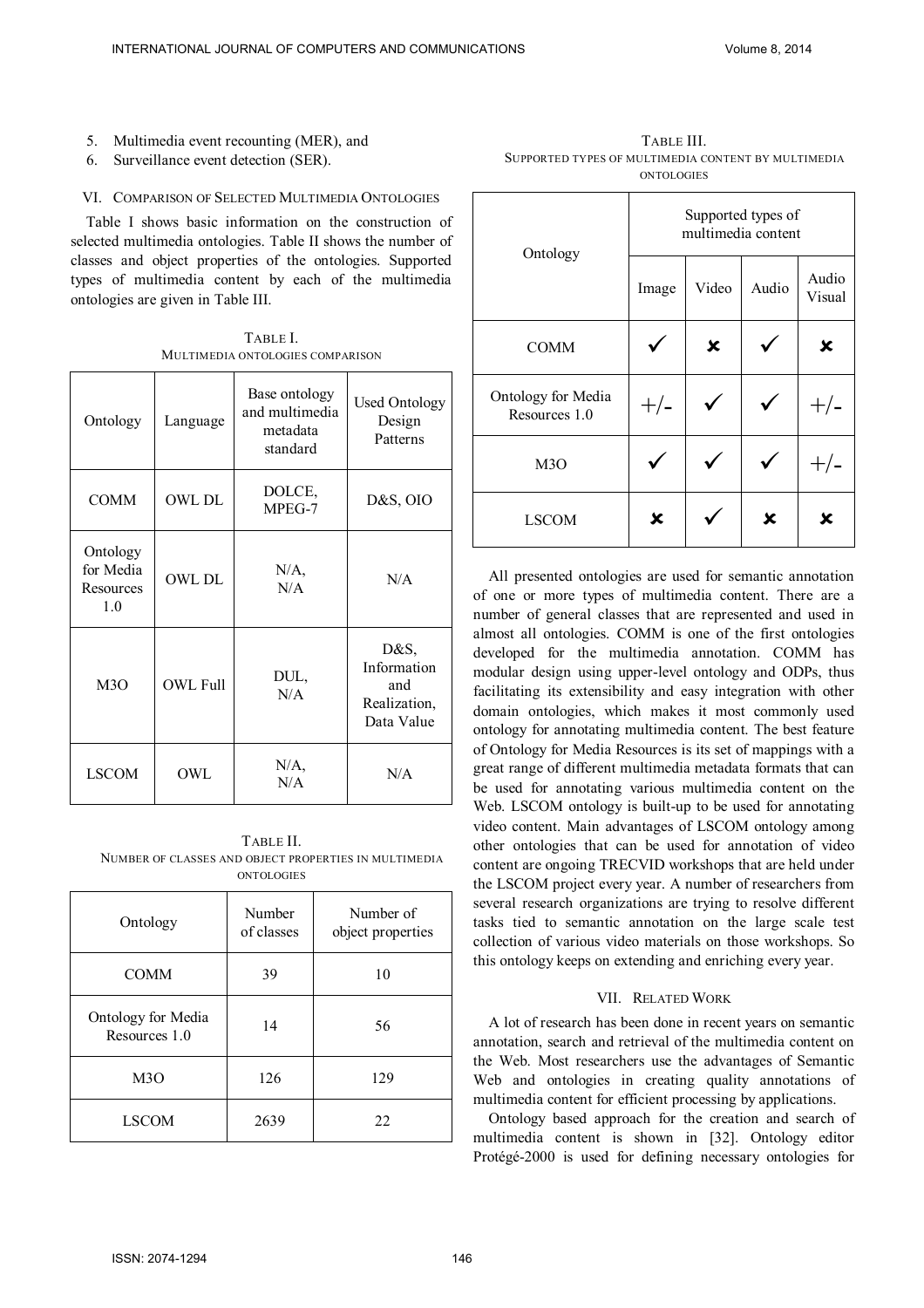- 5. Multimedia event recounting (MER), and
- 6. Surveillance event detection (SER).

# VI. COMPARISON OF SELECTED MULTIMEDIA ONTOLOGIES

Table I shows basic information on the construction of selected multimedia ontologies. Table II shows the number of classes and object properties of the ontologies. Supported types of multimedia content by each of the multimedia ontologies are given in Table III.

TABLE I. MULTIMEDIA ONTOLOGIES COMPARISON

| Ontology                                  | Language        | Base ontology<br>and multimedia<br>metadata<br>standard | <b>Used Ontology</b><br>Design<br>Patterns               |  |
|-------------------------------------------|-----------------|---------------------------------------------------------|----------------------------------------------------------|--|
| <b>COMM</b>                               | <b>OWL DL</b>   | DOLCE,<br>MPEG-7                                        | D&S, OIO                                                 |  |
| Ontology<br>for Media<br>Resources<br>1.0 | <b>OWL DL</b>   | $N/A$ ,<br>N/A                                          | N/A                                                      |  |
| M3O                                       | <b>OWL Full</b> | DUL,<br>N/A                                             | D&S,<br>Information<br>and<br>Realization,<br>Data Value |  |
| <b>LSCOM</b>                              | OWL             | $N/A$ ,<br>N/A                                          | N/A                                                      |  |

TABLE II. NUMBER OF CLASSES AND OBJECT PROPERTIES IN MULTIMEDIA ONTOLOGIES

| Ontology                            | Number<br>of classes | Number of<br>object properties |  |
|-------------------------------------|----------------------|--------------------------------|--|
| <b>COMM</b>                         | 39                   | 10                             |  |
| Ontology for Media<br>Resources 1.0 | 14                   | 56                             |  |
| M3O                                 | 126                  | 129                            |  |
| <b>LSCOM</b>                        | 2639                 | 22                             |  |

TABLE III. SUPPORTED TYPES OF MULTIMEDIA CONTENT BY MULTIMEDIA ONTOLOGIES

| Ontology                            | Supported types of<br>multimedia content |       |       |                 |  |
|-------------------------------------|------------------------------------------|-------|-------|-----------------|--|
|                                     | Image                                    | Video | Audio | Audio<br>Visual |  |
| <b>COMM</b>                         |                                          | х     |       | x               |  |
| Ontology for Media<br>Resources 1.0 |                                          |       |       |                 |  |
| M <sub>3</sub> O                    |                                          |       |       |                 |  |
| <b>LSCOM</b>                        | x                                        |       | x     | x               |  |

All presented ontologies are used for semantic annotation of one or more types of multimedia content. There are a number of general classes that are represented and used in almost all ontologies. COMM is one of the first ontologies developed for the multimedia annotation. COMM has modular design using upper-level ontology and ODPs, thus facilitating its extensibility and easy integration with other domain ontologies, which makes it most commonly used ontology for annotating multimedia content. The best feature of Ontology for Media Resources is its set of mappings with a great range of different multimedia metadata formats that can be used for annotating various multimedia content on the Web. LSCOM ontology is built-up to be used for annotating video content. Main advantages of LSCOM ontology among other ontologies that can be used for annotation of video content are ongoing TRECVID workshops that are held under the LSCOM project every year. A number of researchers from several research organizations are trying to resolve different tasks tied to semantic annotation on the large scale test collection of various video materials on those workshops. So this ontology keeps on extending and enriching every year.

# VII. RELATED WORK

A lot of research has been done in recent years on semantic annotation, search and retrieval of the multimedia content on the Web. Most researchers use the advantages of Semantic Web and ontologies in creating quality annotations of multimedia content for efficient processing by applications.

Ontology based approach for the creation and search of multimedia content is shown in [32]. Ontology editor Protégé-2000 is used for defining necessary ontologies for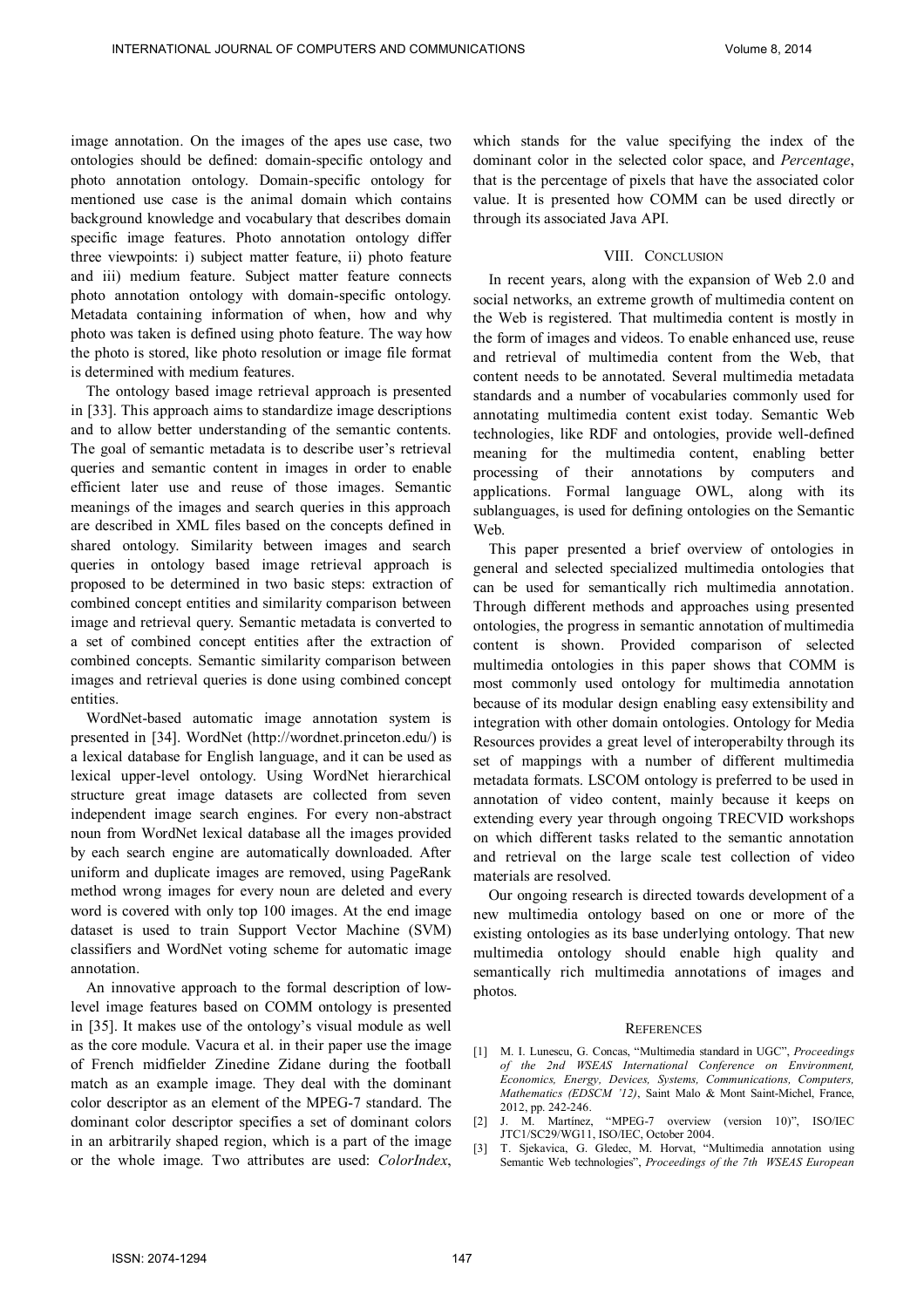image annotation. On the images of the apes use case, two ontologies should be defined: domain-specific ontology and photo annotation ontology. Domain-specific ontology for mentioned use case is the animal domain which contains background knowledge and vocabulary that describes domain specific image features. Photo annotation ontology differ three viewpoints: i) subject matter feature, ii) photo feature and iii) medium feature. Subject matter feature connects photo annotation ontology with domain-specific ontology. Metadata containing information of when, how and why photo was taken is defined using photo feature. The way how the photo is stored, like photo resolution or image file format is determined with medium features.

The ontology based image retrieval approach is presented in [33]. This approach aims to standardize image descriptions and to allow better understanding of the semantic contents. The goal of semantic metadata is to describe user's retrieval queries and semantic content in images in order to enable efficient later use and reuse of those images. Semantic meanings of the images and search queries in this approach are described in XML files based on the concepts defined in shared ontology. Similarity between images and search queries in ontology based image retrieval approach is proposed to be determined in two basic steps: extraction of combined concept entities and similarity comparison between image and retrieval query. Semantic metadata is converted to a set of combined concept entities after the extraction of combined concepts. Semantic similarity comparison between images and retrieval queries is done using combined concept entities.

WordNet-based automatic image annotation system is presented in [34]. WordNet (http://wordnet.princeton.edu/) is a lexical database for English language, and it can be used as lexical upper-level ontology. Using WordNet hierarchical structure great image datasets are collected from seven independent image search engines. For every non-abstract noun from WordNet lexical database all the images provided by each search engine are automatically downloaded. After uniform and duplicate images are removed, using PageRank method wrong images for every noun are deleted and every word is covered with only top 100 images. At the end image dataset is used to train Support Vector Machine (SVM) classifiers and WordNet voting scheme for automatic image annotation.

An innovative approach to the formal description of lowlevel image features based on COMM ontology is presented in [35]. It makes use of the ontology's visual module as well as the core module. Vacura et al. in their paper use the image of French midfielder Zinedine Zidane during the football match as an example image. They deal with the dominant color descriptor as an element of the MPEG-7 standard. The dominant color descriptor specifies a set of dominant colors in an arbitrarily shaped region, which is a part of the image or the whole image. Two attributes are used: *ColorIndex*,

which stands for the value specifying the index of the dominant color in the selected color space, and *Percentage*, that is the percentage of pixels that have the associated color value. It is presented how COMM can be used directly or through its associated Java API.

#### VIII. CONCLUSION

In recent years, along with the expansion of Web 2.0 and social networks, an extreme growth of multimedia content on the Web is registered. That multimedia content is mostly in the form of images and videos. To enable enhanced use, reuse and retrieval of multimedia content from the Web, that content needs to be annotated. Several multimedia metadata standards and a number of vocabularies commonly used for annotating multimedia content exist today. Semantic Web technologies, like RDF and ontologies, provide well-defined meaning for the multimedia content, enabling better processing of their annotations by computers and applications. Formal language OWL, along with its sublanguages, is used for defining ontologies on the Semantic **Web**.

This paper presented a brief overview of ontologies in general and selected specialized multimedia ontologies that can be used for semantically rich multimedia annotation. Through different methods and approaches using presented ontologies, the progress in semantic annotation of multimedia content is shown. Provided comparison of selected multimedia ontologies in this paper shows that COMM is most commonly used ontology for multimedia annotation because of its modular design enabling easy extensibility and integration with other domain ontologies. Ontology for Media Resources provides a great level of interoperabilty through its set of mappings with a number of different multimedia metadata formats. LSCOM ontology is preferred to be used in annotation of video content, mainly because it keeps on extending every year through ongoing TRECVID workshops on which different tasks related to the semantic annotation and retrieval on the large scale test collection of video materials are resolved.

Our ongoing research is directed towards development of a new multimedia ontology based on one or more of the existing ontologies as its base underlying ontology. That new multimedia ontology should enable high quality and semantically rich multimedia annotations of images and photos.

#### **REFERENCES**

- [1] M. I. Lunescu, G. Concas, "Multimedia standard in UGC", *Proceedings of the 2nd WSEAS International Conference on Environment, Economics, Energy, Devices, Systems, Communications, Computers, Mathematics (EDSCM '12)*, Saint Malo & Mont Saint-Michel, France, 2012, pp. 242-246.<br>[2] J. M. Martínez,
- "MPEG-7 overview (version 10)", ISO/IEC JTC1/SC29/WG11, ISO/IEC, October 2004.
- [3] T. Sjekavica, G. Gledec, M. Horvat, "Multimedia annotation using Semantic Web technologies", *Proceedings of the 7th WSEAS European*